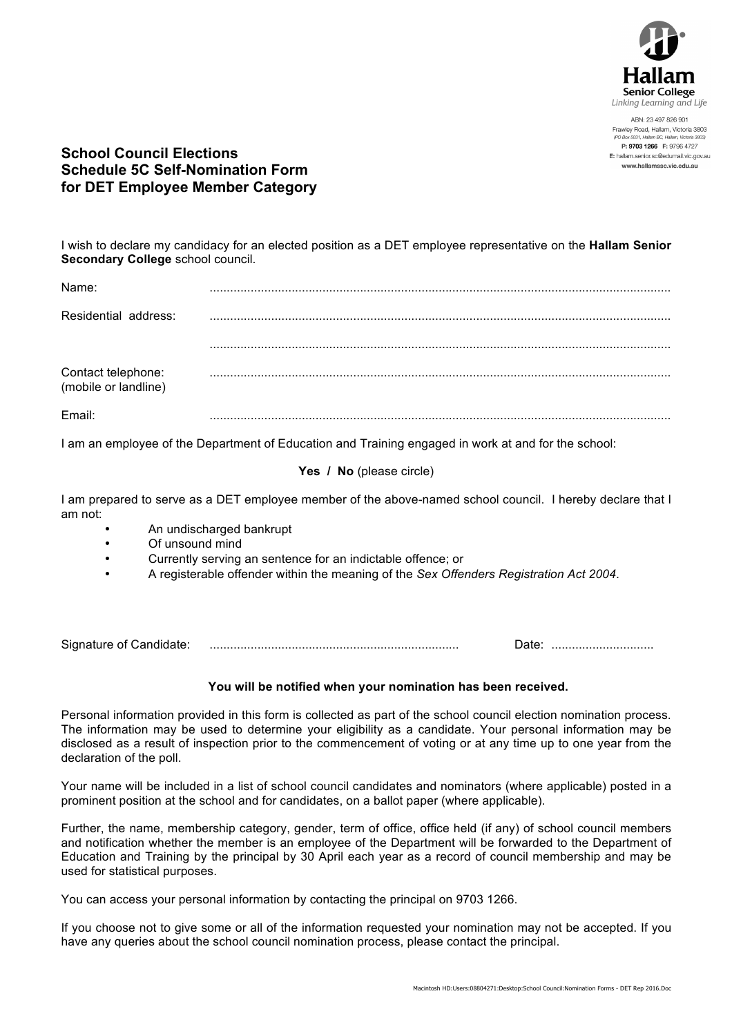

ABN: 23 497 826 901 Frawley Road, Hallam, Victoria 3803 P: 9703 1266 F: 9796 4727 E: hallam.senior.sc@edumail.vic.gov.au www.hallamssc.vic.edu.au

## **School Council Elections Schedule 5C Self-Nomination Form for DET Employee Member Category**

I wish to declare my candidacy for an elected position as a DET employee representative on the **Hallam Senior Secondary College** school council.

| Name:                                      | . |
|--------------------------------------------|---|
| Residential address:                       |   |
|                                            |   |
| Contact telephone:<br>(mobile or landline) |   |
| Email:                                     |   |

I am an employee of the Department of Education and Training engaged in work at and for the school:

### **Yes / No** (please circle)

I am prepared to serve as a DET employee member of the above-named school council. I hereby declare that I am not:

- An undischarged bankrupt
- Of unsound mind
- Currently serving an sentence for an indictable offence; or
- A registerable offender within the meaning of the *Sex Offenders Registration Act 2004*.

Signature of Candidate: ......................................................................... Date: ..............................

#### **You will be notified when your nomination has been received.**

Personal information provided in this form is collected as part of the school council election nomination process. The information may be used to determine your eligibility as a candidate. Your personal information may be disclosed as a result of inspection prior to the commencement of voting or at any time up to one year from the declaration of the poll.

Your name will be included in a list of school council candidates and nominators (where applicable) posted in a prominent position at the school and for candidates, on a ballot paper (where applicable).

Further, the name, membership category, gender, term of office, office held (if any) of school council members and notification whether the member is an employee of the Department will be forwarded to the Department of Education and Training by the principal by 30 April each year as a record of council membership and may be used for statistical purposes.

You can access your personal information by contacting the principal on 9703 1266.

If you choose not to give some or all of the information requested your nomination may not be accepted. If you have any queries about the school council nomination process, please contact the principal.